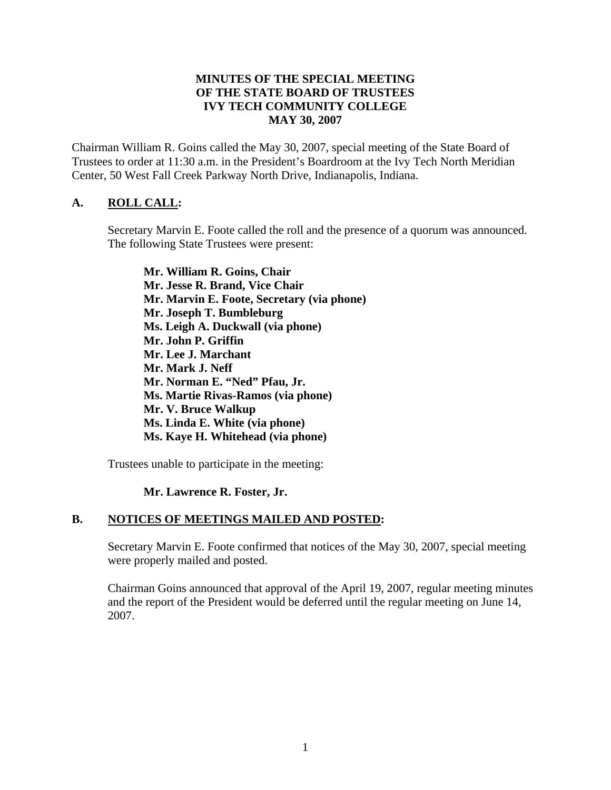## **MINUTES OF THE SPECIAL MEETING OF THE STATE BOARD OF TRUSTEES IVY TECH COMMUNITY COLLEGE MAY 30, 2007**

Chairman William R. Goins called the May 30, 2007, special meeting of the State Board of Trustees to order at 11:30 a.m. in the President's Boardroom at the Ivy Tech North Meridian Center, 50 West Fall Creek Parkway North Drive, Indianapolis, Indiana.

# **A. ROLL CALL:**

Secretary Marvin E. Foote called the roll and the presence of a quorum was announced. The following State Trustees were present:

**Mr. William R. Goins, Chair Mr. Jesse R. Brand, Vice Chair Mr. Marvin E. Foote, Secretary (via phone) Mr. Joseph T. Bumbleburg Ms. Leigh A. Duckwall (via phone) Mr. John P. Griffin Mr. Lee J. Marchant Mr. Mark J. Neff Mr. Norman E. "Ned" Pfau, Jr. Ms. Martie Rivas-Ramos (via phone) Mr. V. Bruce Walkup Ms. Linda E. White (via phone) Ms. Kaye H. Whitehead (via phone)** 

Trustees unable to participate in the meeting:

# **Mr. Lawrence R. Foster, Jr.**

### **B. NOTICES OF MEETINGS MAILED AND POSTED:**

Secretary Marvin E. Foote confirmed that notices of the May 30, 2007, special meeting were properly mailed and posted.

Chairman Goins announced that approval of the April 19, 2007, regular meeting minutes and the report of the President would be deferred until the regular meeting on June 14, 2007.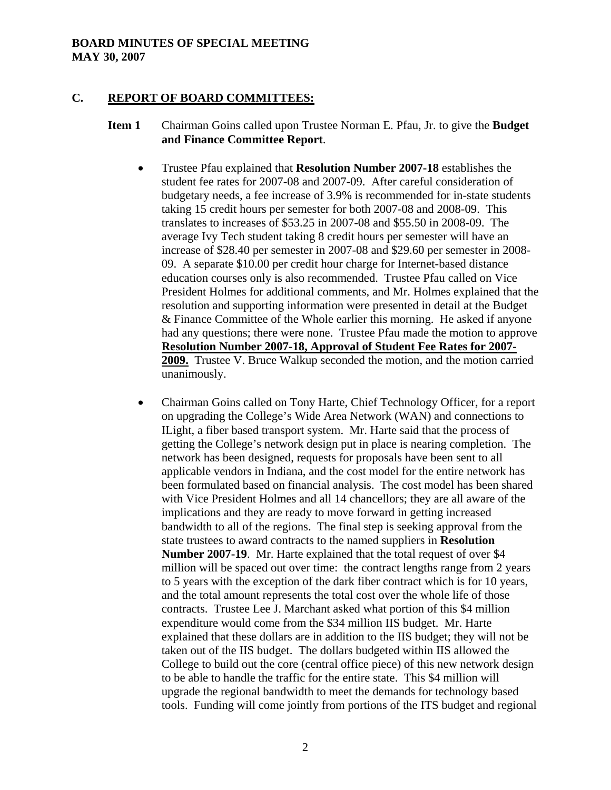### **BOARD MINUTES OF SPECIAL MEETING MAY 30, 2007**

### **C. REPORT OF BOARD COMMITTEES:**

### **Item 1** Chairman Goins called upon Trustee Norman E. Pfau, Jr. to give the **Budget and Finance Committee Report**.

- Trustee Pfau explained that **Resolution Number 2007-18** establishes the student fee rates for 2007-08 and 2007-09. After careful consideration of budgetary needs, a fee increase of 3.9% is recommended for in-state students taking 15 credit hours per semester for both 2007-08 and 2008-09. This translates to increases of \$53.25 in 2007-08 and \$55.50 in 2008-09. The average Ivy Tech student taking 8 credit hours per semester will have an increase of \$28.40 per semester in 2007-08 and \$29.60 per semester in 2008- 09. A separate \$10.00 per credit hour charge for Internet-based distance education courses only is also recommended. Trustee Pfau called on Vice President Holmes for additional comments, and Mr. Holmes explained that the resolution and supporting information were presented in detail at the Budget & Finance Committee of the Whole earlier this morning. He asked if anyone had any questions; there were none. Trustee Pfau made the motion to approve **Resolution Number 2007-18, Approval of Student Fee Rates for 2007- 2009.** Trustee V. Bruce Walkup seconded the motion, and the motion carried unanimously.
- Chairman Goins called on Tony Harte, Chief Technology Officer, for a report on upgrading the College's Wide Area Network (WAN) and connections to ILight, a fiber based transport system. Mr. Harte said that the process of getting the College's network design put in place is nearing completion. The network has been designed, requests for proposals have been sent to all applicable vendors in Indiana, and the cost model for the entire network has been formulated based on financial analysis. The cost model has been shared with Vice President Holmes and all 14 chancellors; they are all aware of the implications and they are ready to move forward in getting increased bandwidth to all of the regions. The final step is seeking approval from the state trustees to award contracts to the named suppliers in **Resolution Number 2007-19**. Mr. Harte explained that the total request of over \$4 million will be spaced out over time: the contract lengths range from 2 years to 5 years with the exception of the dark fiber contract which is for 10 years, and the total amount represents the total cost over the whole life of those contracts. Trustee Lee J. Marchant asked what portion of this \$4 million expenditure would come from the \$34 million IIS budget. Mr. Harte explained that these dollars are in addition to the IIS budget; they will not be taken out of the IIS budget. The dollars budgeted within IIS allowed the College to build out the core (central office piece) of this new network design to be able to handle the traffic for the entire state. This \$4 million will upgrade the regional bandwidth to meet the demands for technology based tools. Funding will come jointly from portions of the ITS budget and regional